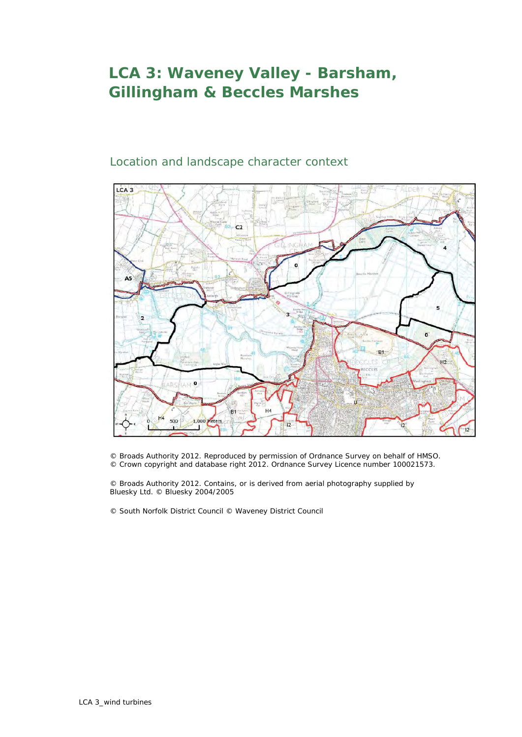## **LCA 3: Waveney Valley - Barsham, Gillingham & Beccles Marshes**

## Location and landscape character context



© Broads Authority 2012. Reproduced by permission of Ordnance Survey on behalf of HMSO. © Crown copyright and database right 2012. Ordnance Survey Licence number 100021573.

© Broads Authority 2012. Contains, or is derived from aerial photography supplied by Bluesky Ltd. © Bluesky 2004/2005

© South Norfolk District Council © Waveney District Council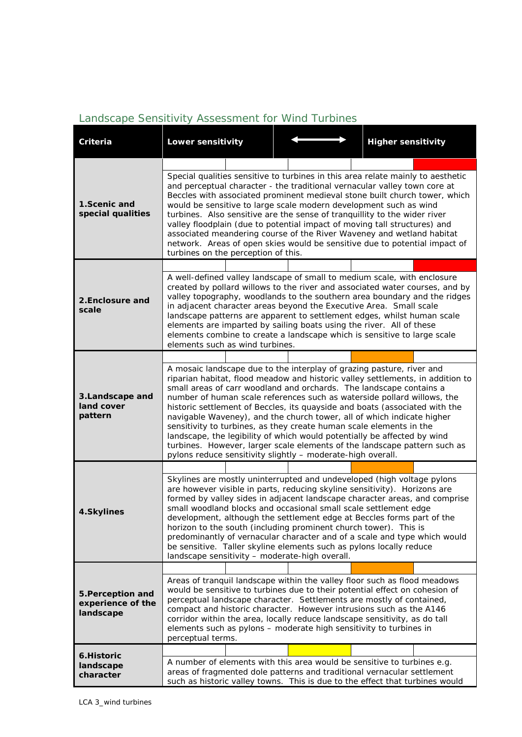## *Landscape Sensitivity Assessment for Wind Turbines*

| Criteria                                            | <b>Lower sensitivity</b>                                                                                                                                                                                                                                                                                                                                                                                                                                                                                                                                                                                                                                                                                                                                          |  | <b>Higher sensitivity</b>                                                                                                                                 |  |  |  |
|-----------------------------------------------------|-------------------------------------------------------------------------------------------------------------------------------------------------------------------------------------------------------------------------------------------------------------------------------------------------------------------------------------------------------------------------------------------------------------------------------------------------------------------------------------------------------------------------------------------------------------------------------------------------------------------------------------------------------------------------------------------------------------------------------------------------------------------|--|-----------------------------------------------------------------------------------------------------------------------------------------------------------|--|--|--|
|                                                     |                                                                                                                                                                                                                                                                                                                                                                                                                                                                                                                                                                                                                                                                                                                                                                   |  |                                                                                                                                                           |  |  |  |
| 1.Scenic and<br>special qualities                   | Special qualities sensitive to turbines in this area relate mainly to aesthetic<br>and perceptual character - the traditional vernacular valley town core at<br>Beccles with associated prominent medieval stone built church tower, which<br>would be sensitive to large scale modern development such as wind<br>turbines. Also sensitive are the sense of tranquillity to the wider river<br>valley floodplain (due to potential impact of moving tall structures) and<br>associated meandering course of the River Waveney and wetland habitat<br>network. Areas of open skies would be sensitive due to potential impact of<br>turbines on the perception of this.                                                                                           |  |                                                                                                                                                           |  |  |  |
|                                                     |                                                                                                                                                                                                                                                                                                                                                                                                                                                                                                                                                                                                                                                                                                                                                                   |  |                                                                                                                                                           |  |  |  |
| 2.Enclosure and<br>scale                            | A well-defined valley landscape of small to medium scale, with enclosure<br>in adjacent character areas beyond the Executive Area. Small scale<br>landscape patterns are apparent to settlement edges, whilst human scale<br>elements are imparted by sailing boats using the river. All of these<br>elements combine to create a landscape which is sensitive to large scale<br>elements such as wind turbines.                                                                                                                                                                                                                                                                                                                                                  |  | created by pollard willows to the river and associated water courses, and by<br>valley topography, woodlands to the southern area boundary and the ridges |  |  |  |
|                                                     |                                                                                                                                                                                                                                                                                                                                                                                                                                                                                                                                                                                                                                                                                                                                                                   |  |                                                                                                                                                           |  |  |  |
| 3. Landscape and<br>land cover<br>pattern           | A mosaic landscape due to the interplay of grazing pasture, river and<br>riparian habitat, flood meadow and historic valley settlements, in addition to<br>small areas of carr woodland and orchards. The landscape contains a<br>number of human scale references such as waterside pollard willows, the<br>historic settlement of Beccles, its quayside and boats (associated with the<br>navigable Waveney), and the church tower, all of which indicate higher<br>sensitivity to turbines, as they create human scale elements in the<br>landscape, the legibility of which would potentially be affected by wind<br>turbines. However, larger scale elements of the landscape pattern such as<br>pylons reduce sensitivity slightly - moderate-high overall. |  |                                                                                                                                                           |  |  |  |
|                                                     |                                                                                                                                                                                                                                                                                                                                                                                                                                                                                                                                                                                                                                                                                                                                                                   |  |                                                                                                                                                           |  |  |  |
| 4.Skylines                                          | Skylines are mostly uninterrupted and undeveloped (high voltage pylons<br>are however visible in parts, reducing skyline sensitivity). Horizons are<br>small woodland blocks and occasional small scale settlement edge<br>development, although the settlement edge at Beccles forms part of the<br>horizon to the south (including prominent church tower). This is<br>be sensitive. Taller skyline elements such as pylons locally reduce<br>landscape sensitivity - moderate-high overall.                                                                                                                                                                                                                                                                    |  | formed by valley sides in adjacent landscape character areas, and comprise<br>predominantly of vernacular character and of a scale and type which would   |  |  |  |
| 5. Perception and<br>experience of the<br>landscape |                                                                                                                                                                                                                                                                                                                                                                                                                                                                                                                                                                                                                                                                                                                                                                   |  |                                                                                                                                                           |  |  |  |
|                                                     | Areas of tranquil landscape within the valley floor such as flood meadows<br>would be sensitive to turbines due to their potential effect on cohesion of<br>perceptual landscape character. Settlements are mostly of contained,<br>compact and historic character. However intrusions such as the A146<br>corridor within the area, locally reduce landscape sensitivity, as do tall<br>elements such as pylons - moderate high sensitivity to turbines in<br>perceptual terms.                                                                                                                                                                                                                                                                                  |  |                                                                                                                                                           |  |  |  |
| 6.Historic                                          |                                                                                                                                                                                                                                                                                                                                                                                                                                                                                                                                                                                                                                                                                                                                                                   |  |                                                                                                                                                           |  |  |  |
| landscape<br>character                              | A number of elements with this area would be sensitive to turbines e.g.<br>areas of fragmented dole patterns and traditional vernacular settlement<br>such as historic valley towns. This is due to the effect that turbines would                                                                                                                                                                                                                                                                                                                                                                                                                                                                                                                                |  |                                                                                                                                                           |  |  |  |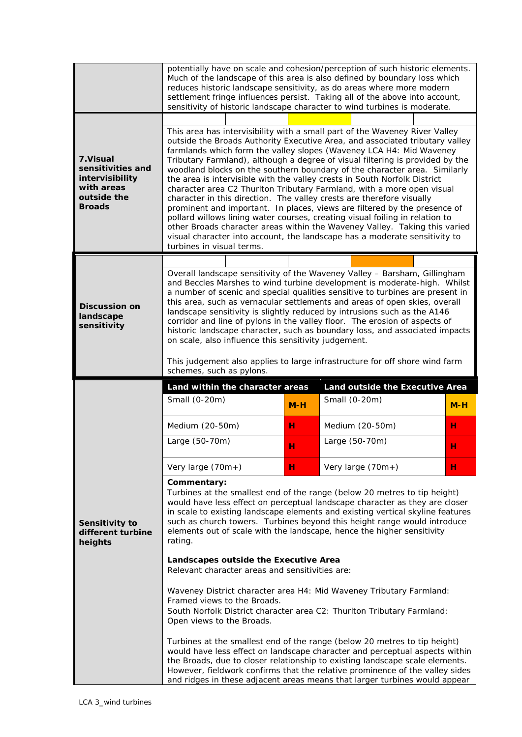|                                                                                                 | potentially have on scale and cohesion/perception of such historic elements.<br>Much of the landscape of this area is also defined by boundary loss which<br>reduces historic landscape sensitivity, as do areas where more modern<br>settlement fringe influences persist. Taking all of the above into account,<br>sensitivity of historic landscape character to wind turbines is moderate.                                                                                                                                                                                                                                                                                                                                                                                                                                                                                                                                                                                         |       |                                 |  |       |  |  |  |
|-------------------------------------------------------------------------------------------------|----------------------------------------------------------------------------------------------------------------------------------------------------------------------------------------------------------------------------------------------------------------------------------------------------------------------------------------------------------------------------------------------------------------------------------------------------------------------------------------------------------------------------------------------------------------------------------------------------------------------------------------------------------------------------------------------------------------------------------------------------------------------------------------------------------------------------------------------------------------------------------------------------------------------------------------------------------------------------------------|-------|---------------------------------|--|-------|--|--|--|
| 7. Visual<br>sensitivities and<br>intervisibility<br>with areas<br>outside the<br><b>Broads</b> | This area has intervisibility with a small part of the Waveney River Valley<br>outside the Broads Authority Executive Area, and associated tributary valley<br>farmlands which form the valley slopes (Waveney LCA H4: Mid Waveney<br>Tributary Farmland), although a degree of visual filtering is provided by the<br>woodland blocks on the southern boundary of the character area. Similarly<br>the area is intervisible with the valley crests in South Norfolk District<br>character area C2 Thurlton Tributary Farmland, with a more open visual<br>character in this direction. The valley crests are therefore visually<br>prominent and important. In places, views are filtered by the presence of<br>pollard willows lining water courses, creating visual foiling in relation to<br>other Broads character areas within the Waveney Valley. Taking this varied<br>visual character into account, the landscape has a moderate sensitivity to<br>turbines in visual terms. |       |                                 |  |       |  |  |  |
|                                                                                                 |                                                                                                                                                                                                                                                                                                                                                                                                                                                                                                                                                                                                                                                                                                                                                                                                                                                                                                                                                                                        |       |                                 |  |       |  |  |  |
| <b>Discussion on</b><br>landscape<br>sensitivity                                                | Overall landscape sensitivity of the Waveney Valley - Barsham, Gillingham<br>and Beccles Marshes to wind turbine development is moderate-high. Whilst<br>a number of scenic and special qualities sensitive to turbines are present in<br>this area, such as vernacular settlements and areas of open skies, overall<br>landscape sensitivity is slightly reduced by intrusions such as the A146<br>corridor and line of pylons in the valley floor. The erosion of aspects of<br>historic landscape character, such as boundary loss, and associated impacts<br>on scale, also influence this sensitivity judgement.<br>This judgement also applies to large infrastructure for off shore wind farm<br>schemes, such as pylons.                                                                                                                                                                                                                                                       |       |                                 |  |       |  |  |  |
|                                                                                                 |                                                                                                                                                                                                                                                                                                                                                                                                                                                                                                                                                                                                                                                                                                                                                                                                                                                                                                                                                                                        |       |                                 |  |       |  |  |  |
|                                                                                                 | Land within the character areas                                                                                                                                                                                                                                                                                                                                                                                                                                                                                                                                                                                                                                                                                                                                                                                                                                                                                                                                                        |       | Land outside the Executive Area |  |       |  |  |  |
|                                                                                                 | Small (0-20m)                                                                                                                                                                                                                                                                                                                                                                                                                                                                                                                                                                                                                                                                                                                                                                                                                                                                                                                                                                          | $M-H$ | Small (0-20m)                   |  | $M-H$ |  |  |  |
|                                                                                                 | Medium (20-50m)                                                                                                                                                                                                                                                                                                                                                                                                                                                                                                                                                                                                                                                                                                                                                                                                                                                                                                                                                                        | н     | Medium (20-50m)                 |  | н     |  |  |  |
|                                                                                                 | Large (50-70m)                                                                                                                                                                                                                                                                                                                                                                                                                                                                                                                                                                                                                                                                                                                                                                                                                                                                                                                                                                         | н     | Large (50-70m)                  |  | н     |  |  |  |
|                                                                                                 | Very large (70m+)                                                                                                                                                                                                                                                                                                                                                                                                                                                                                                                                                                                                                                                                                                                                                                                                                                                                                                                                                                      | н     | Very large (70m+)               |  | н     |  |  |  |
| Sensitivity to<br>different turbine<br>heights                                                  | Commentary:<br>Turbines at the smallest end of the range (below 20 metres to tip height)<br>would have less effect on perceptual landscape character as they are closer<br>in scale to existing landscape elements and existing vertical skyline features<br>such as church towers. Turbines beyond this height range would introduce<br>elements out of scale with the landscape, hence the higher sensitivity<br>rating.                                                                                                                                                                                                                                                                                                                                                                                                                                                                                                                                                             |       |                                 |  |       |  |  |  |
|                                                                                                 | Landscapes outside the Executive Area<br>Relevant character areas and sensitivities are:                                                                                                                                                                                                                                                                                                                                                                                                                                                                                                                                                                                                                                                                                                                                                                                                                                                                                               |       |                                 |  |       |  |  |  |
|                                                                                                 | Waveney District character area H4: Mid Waveney Tributary Farmland:<br>Framed views to the Broads.<br>South Norfolk District character area C2: Thurlton Tributary Farmland:<br>Open views to the Broads.                                                                                                                                                                                                                                                                                                                                                                                                                                                                                                                                                                                                                                                                                                                                                                              |       |                                 |  |       |  |  |  |